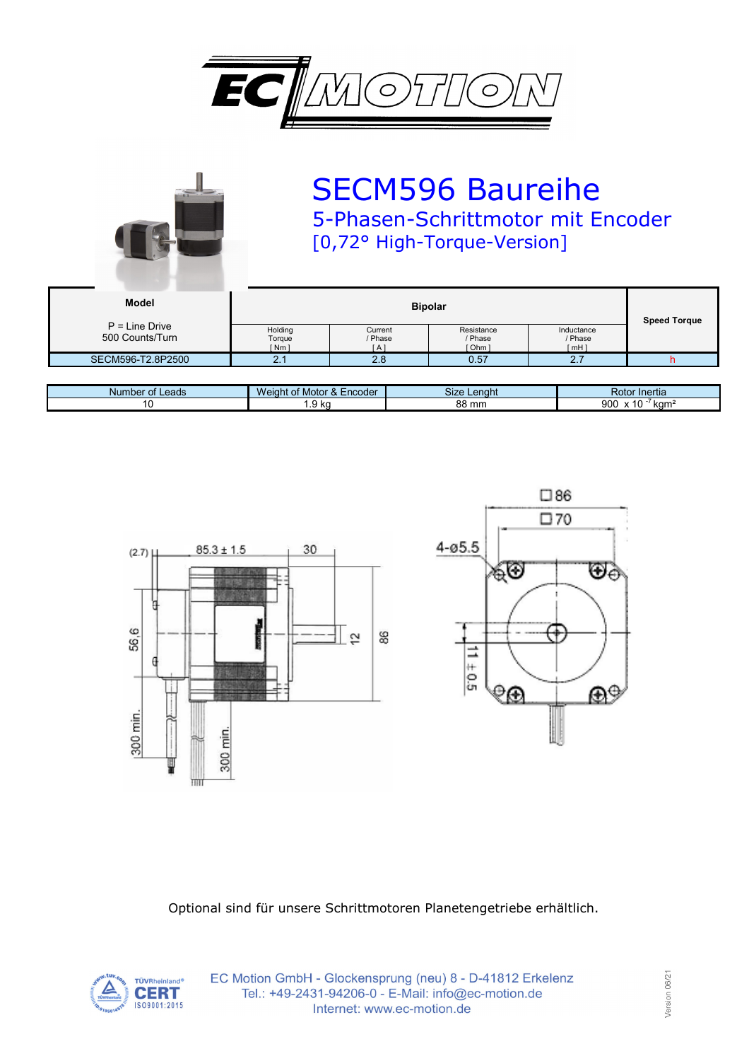

|                                     |                             | <b>SECM596 Baureihe</b><br>5-Phasen-Schrittmotor mit Encoder<br>[0,72° High-Torque-Version] |                                |                                 |                     |  |
|-------------------------------------|-----------------------------|---------------------------------------------------------------------------------------------|--------------------------------|---------------------------------|---------------------|--|
| <b>Model</b>                        | <b>Bipolar</b>              |                                                                                             |                                |                                 | <b>Speed Torque</b> |  |
| $P = Line$ Drive<br>500 Counts/Turn | Holding<br>Torque<br>[ Nm ] | Current<br>/ Phase<br>[ A ]                                                                 | Resistance<br>/ Phase<br>Ohm 1 | Inductance<br>/ Phase<br>[ mH ] |                     |  |

| Number of Leads | $\sqrt{ }$ of Motor &<br>Encoder<br><i>Neight</i> | <b>Size</b><br>Lenaht | <b>Rotor</b><br>Inertia                       |
|-----------------|---------------------------------------------------|-----------------------|-----------------------------------------------|
|                 | l.9 kg                                            | 88 mm                 | 900<br>10<br>$\lambda$<br>kam<br>$\mathbf{v}$ |

SECM596-T2.8P2500 2.1 2.8 0.57 2.7 h





Optional sind für unsere Schrittmotoren Planetengetriebe erhältlich.



EC Motion GmbH - Glockensprung (neu) 8 - D-41812 Erkelenz Tel.: +49-2431-94206-0 - E-Mail: info@ec-motion.de Internet: www.ec-motion.de